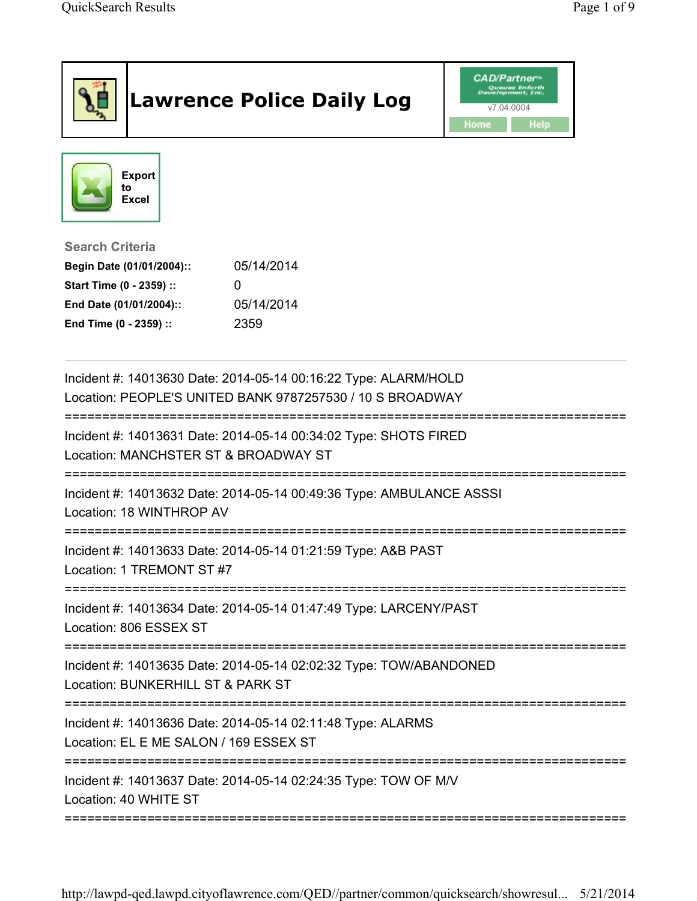|                                                                                                                                      | <b>Lawrence Police Daily Log</b>                                                                                             | <b>CAD/Partner</b><br>lopment.Inc.<br>v7.04.0004<br><b>Help</b><br>Home |
|--------------------------------------------------------------------------------------------------------------------------------------|------------------------------------------------------------------------------------------------------------------------------|-------------------------------------------------------------------------|
| <b>Export</b><br>to<br><b>Excel</b>                                                                                                  |                                                                                                                              |                                                                         |
| <b>Search Criteria</b><br>Begin Date (01/01/2004)::<br>Start Time (0 - 2359) ::<br>End Date (01/01/2004)::<br>End Time (0 - 2359) :: | 05/14/2014<br>0<br>05/14/2014<br>2359                                                                                        |                                                                         |
|                                                                                                                                      | Incident #: 14013630 Date: 2014-05-14 00:16:22 Type: ALARM/HOLD<br>Location: PEOPLE'S UNITED BANK 9787257530 / 10 S BROADWAY |                                                                         |
| Location: MANCHSTER ST & BROADWAY ST                                                                                                 | Incident #: 14013631 Date: 2014-05-14 00:34:02 Type: SHOTS FIRED                                                             |                                                                         |
| Location: 18 WINTHROP AV                                                                                                             | Incident #: 14013632 Date: 2014-05-14 00:49:36 Type: AMBULANCE ASSSI                                                         |                                                                         |
| Location: 1 TREMONT ST #7                                                                                                            | Incident #: 14013633 Date: 2014-05-14 01:21:59 Type: A&B PAST                                                                |                                                                         |
| Location: 806 ESSEX ST                                                                                                               | Incident #: 14013634 Date: 2014-05-14 01:47:49 Type: LARCENY/PAST                                                            |                                                                         |
| Location: BUNKERHILL ST & PARK ST                                                                                                    | Incident #: 14013635 Date: 2014-05-14 02:02:32 Type: TOW/ABANDONED                                                           |                                                                         |
| Location: EL E ME SALON / 169 ESSEX ST                                                                                               | Incident #: 14013636 Date: 2014-05-14 02:11:48 Type: ALARMS                                                                  |                                                                         |
| Location: 40 WHITE ST                                                                                                                | Incident #: 14013637 Date: 2014-05-14 02:24:35 Type: TOW OF M/V                                                              |                                                                         |

http://lawpd-qed.lawpd.cityoflawrence.com/QED//partner/common/quicksearch/showresul... 5/21/2014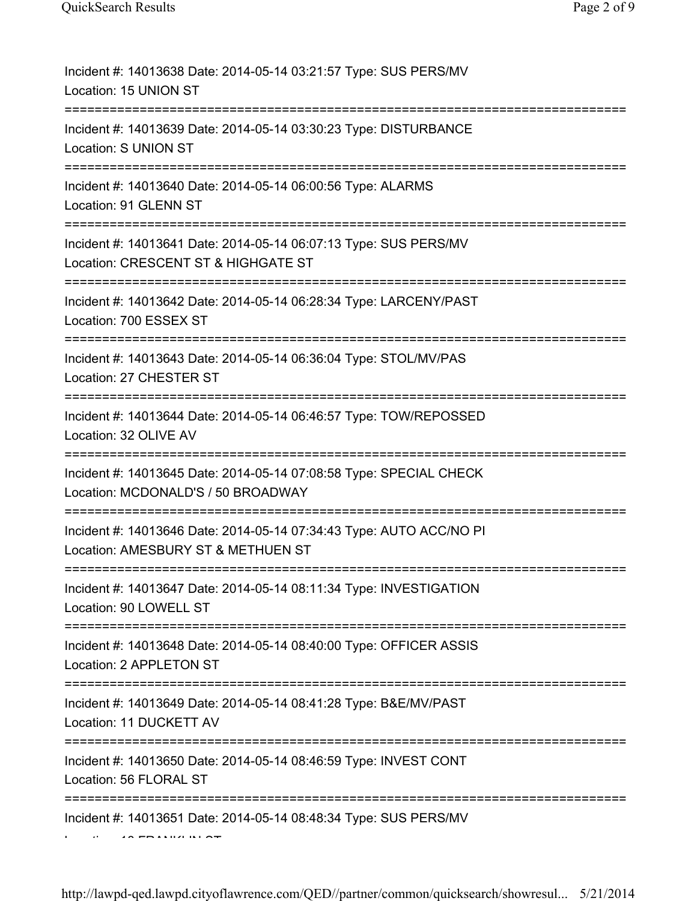| Incident #: 14013638 Date: 2014-05-14 03:21:57 Type: SUS PERS/MV<br>Location: 15 UNION ST                                                        |
|--------------------------------------------------------------------------------------------------------------------------------------------------|
| Incident #: 14013639 Date: 2014-05-14 03:30:23 Type: DISTURBANCE<br>Location: S UNION ST                                                         |
| Incident #: 14013640 Date: 2014-05-14 06:00:56 Type: ALARMS<br>Location: 91 GLENN ST                                                             |
| Incident #: 14013641 Date: 2014-05-14 06:07:13 Type: SUS PERS/MV<br>Location: CRESCENT ST & HIGHGATE ST<br>------------------------------------- |
| Incident #: 14013642 Date: 2014-05-14 06:28:34 Type: LARCENY/PAST<br>Location: 700 ESSEX ST                                                      |
| Incident #: 14013643 Date: 2014-05-14 06:36:04 Type: STOL/MV/PAS<br>Location: 27 CHESTER ST                                                      |
| Incident #: 14013644 Date: 2014-05-14 06:46:57 Type: TOW/REPOSSED<br>Location: 32 OLIVE AV                                                       |
| Incident #: 14013645 Date: 2014-05-14 07:08:58 Type: SPECIAL CHECK<br>Location: MCDONALD'S / 50 BROADWAY                                         |
| Incident #: 14013646 Date: 2014-05-14 07:34:43 Type: AUTO ACC/NO PI<br>Location: AMESBURY ST & METHUEN ST                                        |
| Incident #: 14013647 Date: 2014-05-14 08:11:34 Type: INVESTIGATION<br>Location: 90 LOWELL ST                                                     |
| Incident #: 14013648 Date: 2014-05-14 08:40:00 Type: OFFICER ASSIS<br>Location: 2 APPLETON ST                                                    |
| Incident #: 14013649 Date: 2014-05-14 08:41:28 Type: B&E/MV/PAST<br>Location: 11 DUCKETT AV                                                      |
| Incident #: 14013650 Date: 2014-05-14 08:46:59 Type: INVEST CONT<br>Location: 56 FLORAL ST                                                       |
| Incident #: 14013651 Date: 2014-05-14 08:48:34 Type: SUS PERS/MV                                                                                 |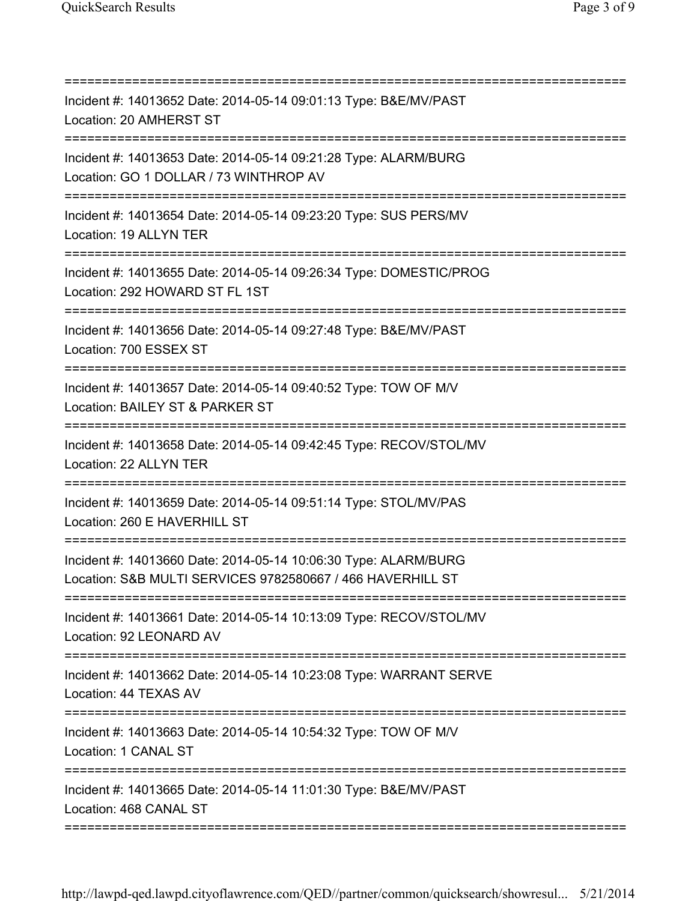| Incident #: 14013652 Date: 2014-05-14 09:01:13 Type: B&E/MV/PAST<br>Location: 20 AMHERST ST                                                 |
|---------------------------------------------------------------------------------------------------------------------------------------------|
| Incident #: 14013653 Date: 2014-05-14 09:21:28 Type: ALARM/BURG<br>Location: GO 1 DOLLAR / 73 WINTHROP AV                                   |
| Incident #: 14013654 Date: 2014-05-14 09:23:20 Type: SUS PERS/MV<br>Location: 19 ALLYN TER                                                  |
| Incident #: 14013655 Date: 2014-05-14 09:26:34 Type: DOMESTIC/PROG<br>Location: 292 HOWARD ST FL 1ST                                        |
| Incident #: 14013656 Date: 2014-05-14 09:27:48 Type: B&E/MV/PAST<br>Location: 700 ESSEX ST<br>====================================          |
| Incident #: 14013657 Date: 2014-05-14 09:40:52 Type: TOW OF M/V<br>Location: BAILEY ST & PARKER ST<br>:==================<br>:============= |
| Incident #: 14013658 Date: 2014-05-14 09:42:45 Type: RECOV/STOL/MV<br>Location: 22 ALLYN TER                                                |
| Incident #: 14013659 Date: 2014-05-14 09:51:14 Type: STOL/MV/PAS<br>Location: 260 E HAVERHILL ST                                            |
| Incident #: 14013660 Date: 2014-05-14 10:06:30 Type: ALARM/BURG<br>Location: S&B MULTI SERVICES 9782580667 / 466 HAVERHILL ST               |
| Incident #: 14013661 Date: 2014-05-14 10:13:09 Type: RECOV/STOL/MV<br>Location: 92 LEONARD AV                                               |
| Incident #: 14013662 Date: 2014-05-14 10:23:08 Type: WARRANT SERVE<br>Location: 44 TEXAS AV                                                 |
| Incident #: 14013663 Date: 2014-05-14 10:54:32 Type: TOW OF M/V<br>Location: 1 CANAL ST                                                     |
| Incident #: 14013665 Date: 2014-05-14 11:01:30 Type: B&E/MV/PAST<br>Location: 468 CANAL ST                                                  |
|                                                                                                                                             |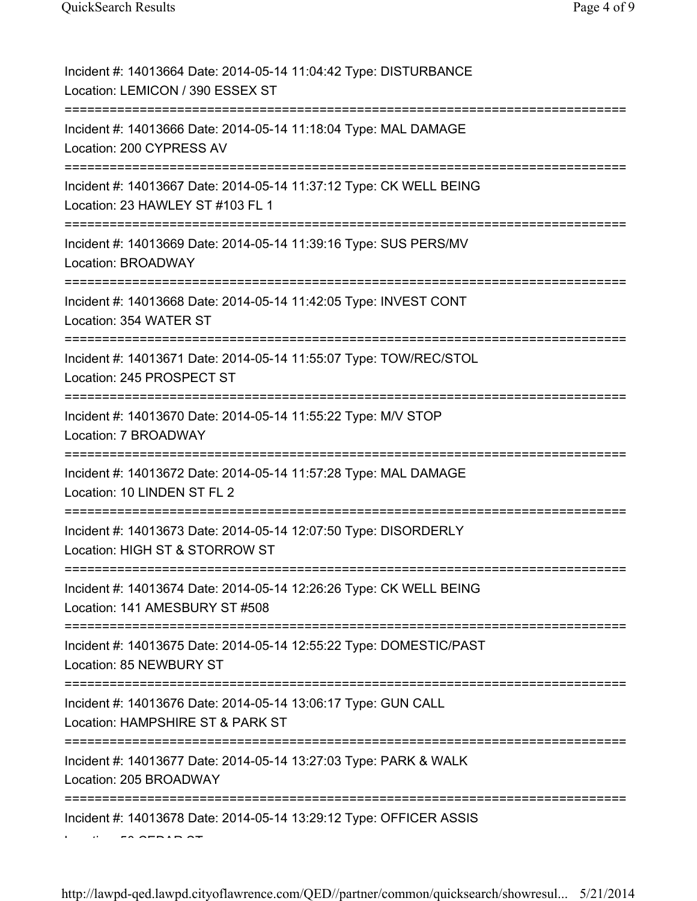| Incident #: 14013664 Date: 2014-05-14 11:04:42 Type: DISTURBANCE<br>Location: LEMICON / 390 ESSEX ST   |
|--------------------------------------------------------------------------------------------------------|
| Incident #: 14013666 Date: 2014-05-14 11:18:04 Type: MAL DAMAGE<br>Location: 200 CYPRESS AV            |
| Incident #: 14013667 Date: 2014-05-14 11:37:12 Type: CK WELL BEING<br>Location: 23 HAWLEY ST #103 FL 1 |
| Incident #: 14013669 Date: 2014-05-14 11:39:16 Type: SUS PERS/MV<br>Location: BROADWAY                 |
| Incident #: 14013668 Date: 2014-05-14 11:42:05 Type: INVEST CONT<br>Location: 354 WATER ST             |
| Incident #: 14013671 Date: 2014-05-14 11:55:07 Type: TOW/REC/STOL<br>Location: 245 PROSPECT ST         |
| Incident #: 14013670 Date: 2014-05-14 11:55:22 Type: M/V STOP<br>Location: 7 BROADWAY                  |
| Incident #: 14013672 Date: 2014-05-14 11:57:28 Type: MAL DAMAGE<br>Location: 10 LINDEN ST FL 2         |
| Incident #: 14013673 Date: 2014-05-14 12:07:50 Type: DISORDERLY<br>Location: HIGH ST & STORROW ST      |
| Incident #: 14013674 Date: 2014-05-14 12:26:26 Type: CK WELL BEING<br>Location: 141 AMESBURY ST #508   |
| Incident #: 14013675 Date: 2014-05-14 12:55:22 Type: DOMESTIC/PAST<br>Location: 85 NEWBURY ST          |
| Incident #: 14013676 Date: 2014-05-14 13:06:17 Type: GUN CALL<br>Location: HAMPSHIRE ST & PARK ST      |
| Incident #: 14013677 Date: 2014-05-14 13:27:03 Type: PARK & WALK<br>Location: 205 BROADWAY             |
| Incident #: 14013678 Date: 2014-05-14 13:29:12 Type: OFFICER ASSIS                                     |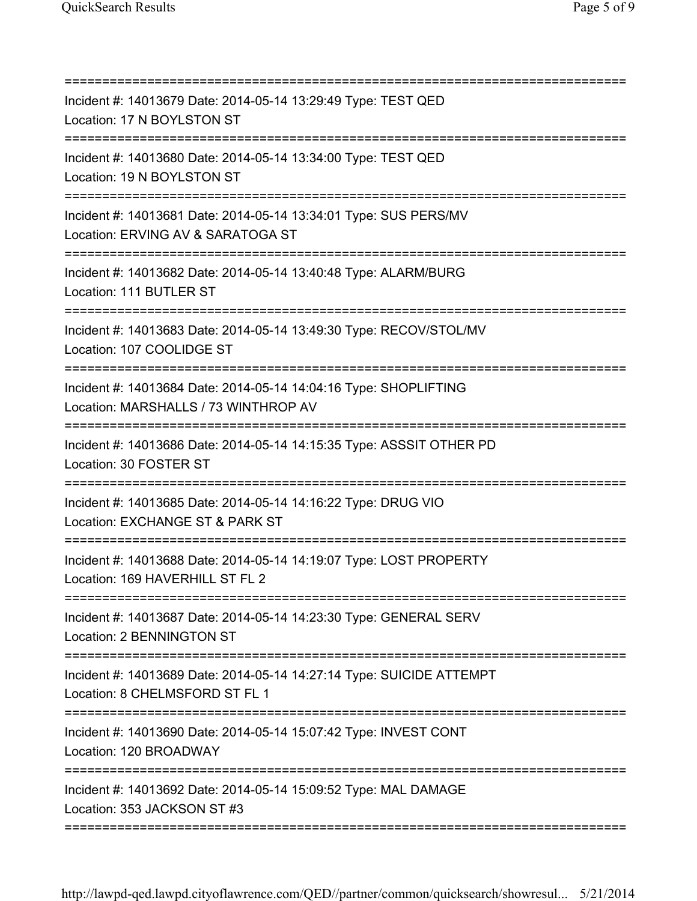| Incident #: 14013679 Date: 2014-05-14 13:29:49 Type: TEST QED<br>Location: 17 N BOYLSTON ST<br>:======================                  |
|-----------------------------------------------------------------------------------------------------------------------------------------|
| Incident #: 14013680 Date: 2014-05-14 13:34:00 Type: TEST QED<br>Location: 19 N BOYLSTON ST                                             |
| Incident #: 14013681 Date: 2014-05-14 13:34:01 Type: SUS PERS/MV<br>Location: ERVING AV & SARATOGA ST                                   |
| Incident #: 14013682 Date: 2014-05-14 13:40:48 Type: ALARM/BURG<br>Location: 111 BUTLER ST                                              |
| Incident #: 14013683 Date: 2014-05-14 13:49:30 Type: RECOV/STOL/MV<br>Location: 107 COOLIDGE ST<br>____________________________________ |
| Incident #: 14013684 Date: 2014-05-14 14:04:16 Type: SHOPLIFTING<br>Location: MARSHALLS / 73 WINTHROP AV                                |
| Incident #: 14013686 Date: 2014-05-14 14:15:35 Type: ASSSIT OTHER PD<br>Location: 30 FOSTER ST                                          |
| Incident #: 14013685 Date: 2014-05-14 14:16:22 Type: DRUG VIO<br>Location: EXCHANGE ST & PARK ST                                        |
| ==========================<br>Incident #: 14013688 Date: 2014-05-14 14:19:07 Type: LOST PROPERTY<br>Location: 169 HAVERHILL ST FL 2     |
| Incident #: 14013687 Date: 2014-05-14 14:23:30 Type: GENERAL SERV<br>Location: 2 BENNINGTON ST                                          |
| Incident #: 14013689 Date: 2014-05-14 14:27:14 Type: SUICIDE ATTEMPT<br>Location: 8 CHELMSFORD ST FL 1                                  |
| Incident #: 14013690 Date: 2014-05-14 15:07:42 Type: INVEST CONT<br>Location: 120 BROADWAY                                              |
| Incident #: 14013692 Date: 2014-05-14 15:09:52 Type: MAL DAMAGE<br>Location: 353 JACKSON ST #3                                          |
|                                                                                                                                         |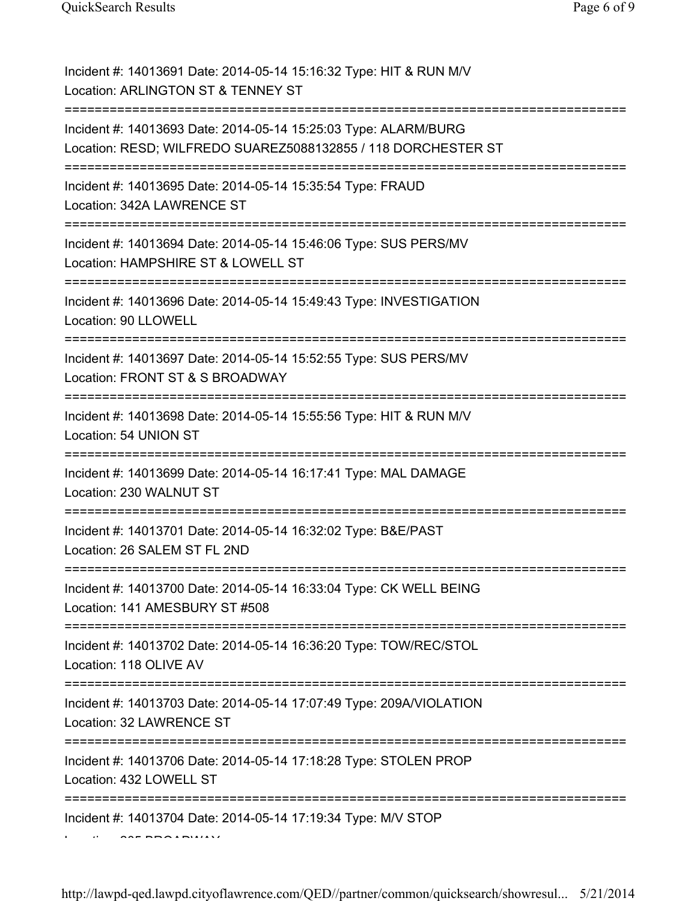| Incident #: 14013691 Date: 2014-05-14 15:16:32 Type: HIT & RUN M/V<br>Location: ARLINGTON ST & TENNEY ST                         |
|----------------------------------------------------------------------------------------------------------------------------------|
| Incident #: 14013693 Date: 2014-05-14 15:25:03 Type: ALARM/BURG<br>Location: RESD; WILFREDO SUAREZ5088132855 / 118 DORCHESTER ST |
| Incident #: 14013695 Date: 2014-05-14 15:35:54 Type: FRAUD<br>Location: 342A LAWRENCE ST<br>-----------------------------------  |
| Incident #: 14013694 Date: 2014-05-14 15:46:06 Type: SUS PERS/MV<br>Location: HAMPSHIRE ST & LOWELL ST                           |
| Incident #: 14013696 Date: 2014-05-14 15:49:43 Type: INVESTIGATION<br>Location: 90 LLOWELL<br>-----------------                  |
| Incident #: 14013697 Date: 2014-05-14 15:52:55 Type: SUS PERS/MV<br>Location: FRONT ST & S BROADWAY                              |
| Incident #: 14013698 Date: 2014-05-14 15:55:56 Type: HIT & RUN M/V<br>Location: 54 UNION ST                                      |
| Incident #: 14013699 Date: 2014-05-14 16:17:41 Type: MAL DAMAGE<br>Location: 230 WALNUT ST                                       |
| Incident #: 14013701 Date: 2014-05-14 16:32:02 Type: B&E/PAST<br>Location: 26 SALEM ST FL 2ND                                    |
| Incident #: 14013700 Date: 2014-05-14 16:33:04 Type: CK WELL BEING<br>Location: 141 AMESBURY ST #508                             |
| Incident #: 14013702 Date: 2014-05-14 16:36:20 Type: TOW/REC/STOL<br>Location: 118 OLIVE AV                                      |
| Incident #: 14013703 Date: 2014-05-14 17:07:49 Type: 209A/VIOLATION<br>Location: 32 LAWRENCE ST                                  |
| Incident #: 14013706 Date: 2014-05-14 17:18:28 Type: STOLEN PROP<br>Location: 432 LOWELL ST                                      |
| Incident #: 14013704 Date: 2014-05-14 17:19:34 Type: M/V STOP                                                                    |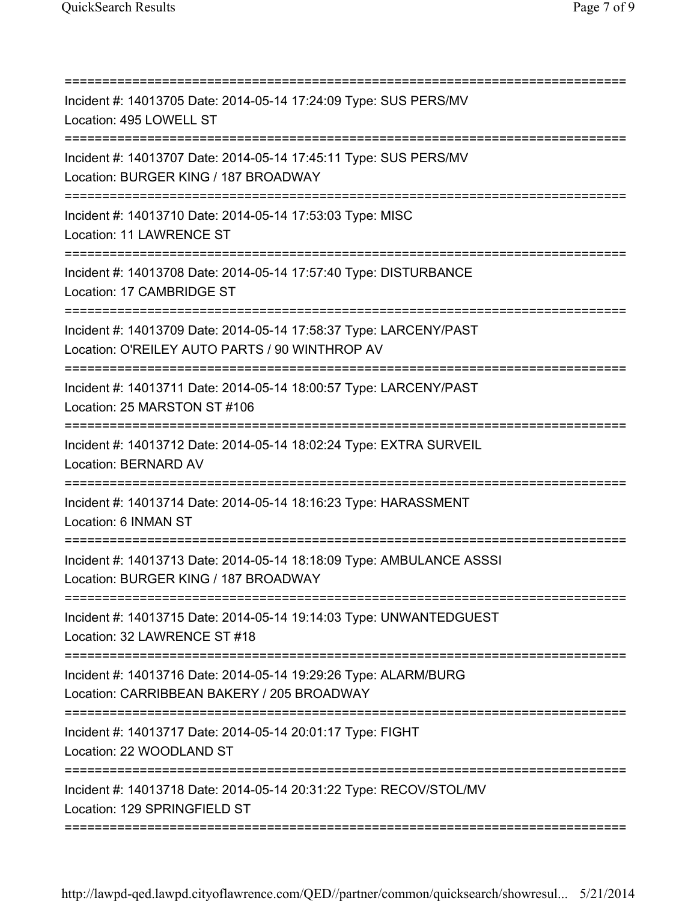| Incident #: 14013705 Date: 2014-05-14 17:24:09 Type: SUS PERS/MV<br>Location: 495 LOWELL ST<br>-------------------------------- |
|---------------------------------------------------------------------------------------------------------------------------------|
| Incident #: 14013707 Date: 2014-05-14 17:45:11 Type: SUS PERS/MV<br>Location: BURGER KING / 187 BROADWAY                        |
| Incident #: 14013710 Date: 2014-05-14 17:53:03 Type: MISC<br>Location: 11 LAWRENCE ST                                           |
| Incident #: 14013708 Date: 2014-05-14 17:57:40 Type: DISTURBANCE<br>Location: 17 CAMBRIDGE ST                                   |
| Incident #: 14013709 Date: 2014-05-14 17:58:37 Type: LARCENY/PAST<br>Location: O'REILEY AUTO PARTS / 90 WINTHROP AV             |
| Incident #: 14013711 Date: 2014-05-14 18:00:57 Type: LARCENY/PAST<br>Location: 25 MARSTON ST #106                               |
| Incident #: 14013712 Date: 2014-05-14 18:02:24 Type: EXTRA SURVEIL<br><b>Location: BERNARD AV</b>                               |
| Incident #: 14013714 Date: 2014-05-14 18:16:23 Type: HARASSMENT<br>Location: 6 INMAN ST                                         |
| Incident #: 14013713 Date: 2014-05-14 18:18:09 Type: AMBULANCE ASSSI<br>Location: BURGER KING / 187 BROADWAY                    |
| Incident #: 14013715 Date: 2014-05-14 19:14:03 Type: UNWANTEDGUEST<br>Location: 32 LAWRENCE ST #18                              |
| Incident #: 14013716 Date: 2014-05-14 19:29:26 Type: ALARM/BURG<br>Location: CARRIBBEAN BAKERY / 205 BROADWAY                   |
| Incident #: 14013717 Date: 2014-05-14 20:01:17 Type: FIGHT<br>Location: 22 WOODLAND ST                                          |
| Incident #: 14013718 Date: 2014-05-14 20:31:22 Type: RECOV/STOL/MV<br>Location: 129 SPRINGFIELD ST<br>===============           |
|                                                                                                                                 |